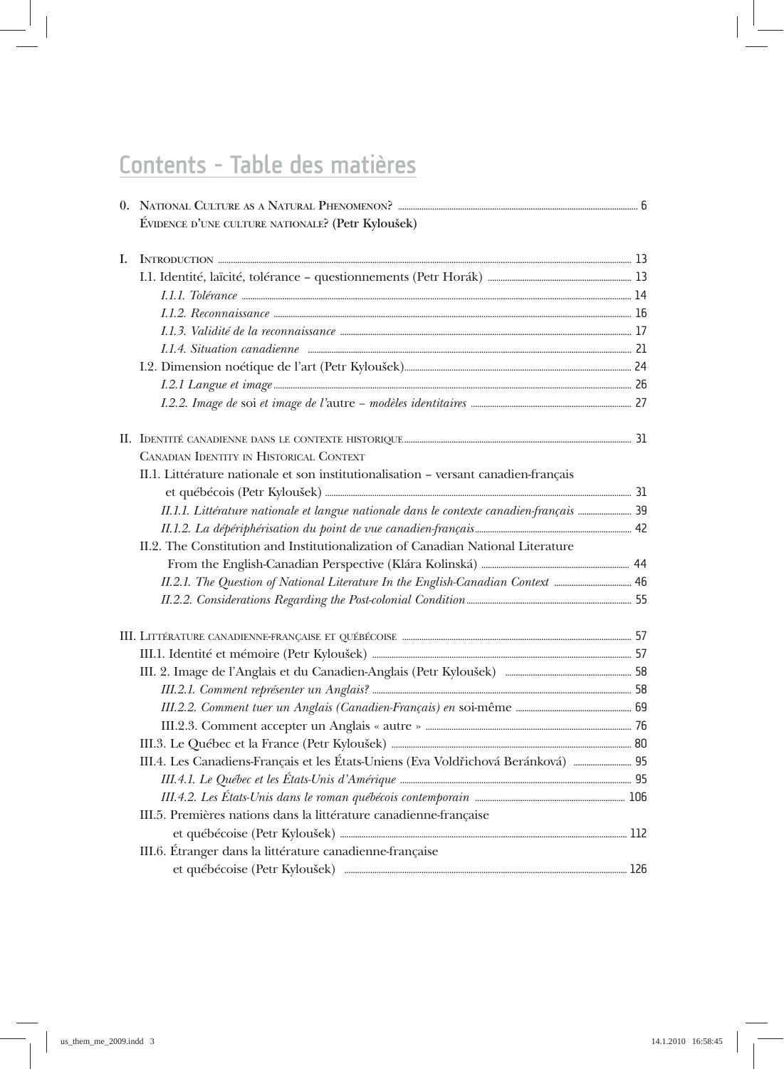## Contents - Table des matières

|  | ÉVIDENCE D'UNE CULTURE NATIONALE? (Petr Kyloušek)                                                                                                                                                                                   |  |
|--|-------------------------------------------------------------------------------------------------------------------------------------------------------------------------------------------------------------------------------------|--|
|  |                                                                                                                                                                                                                                     |  |
|  |                                                                                                                                                                                                                                     |  |
|  |                                                                                                                                                                                                                                     |  |
|  | I.1.2. Reconnaissance <i>material communication</i> and the set of the set of the set of the set of the set of the set of the set of the set of the set of the set of the set of the set of the set of the set of the set of the se |  |
|  |                                                                                                                                                                                                                                     |  |
|  |                                                                                                                                                                                                                                     |  |
|  |                                                                                                                                                                                                                                     |  |
|  |                                                                                                                                                                                                                                     |  |
|  |                                                                                                                                                                                                                                     |  |
|  |                                                                                                                                                                                                                                     |  |
|  | CANADIAN IDENTITY IN HISTORICAL CONTEXT                                                                                                                                                                                             |  |
|  | II.1. Littérature nationale et son institutionalisation - versant canadien-français                                                                                                                                                 |  |
|  |                                                                                                                                                                                                                                     |  |
|  | II.1.1. Littérature nationale et langue nationale dans le contexte canadien-français  39                                                                                                                                            |  |
|  |                                                                                                                                                                                                                                     |  |
|  | II.2. The Constitution and Institutionalization of Canadian National Literature                                                                                                                                                     |  |
|  |                                                                                                                                                                                                                                     |  |
|  |                                                                                                                                                                                                                                     |  |
|  |                                                                                                                                                                                                                                     |  |
|  |                                                                                                                                                                                                                                     |  |
|  |                                                                                                                                                                                                                                     |  |
|  |                                                                                                                                                                                                                                     |  |
|  |                                                                                                                                                                                                                                     |  |
|  |                                                                                                                                                                                                                                     |  |
|  |                                                                                                                                                                                                                                     |  |
|  |                                                                                                                                                                                                                                     |  |
|  | III.4. Les Canadiens-Français et les États-Uniens (Eva Voldřichová Beránková)  95                                                                                                                                                   |  |
|  |                                                                                                                                                                                                                                     |  |
|  |                                                                                                                                                                                                                                     |  |
|  | III.5. Premières nations dans la littérature canadienne-française                                                                                                                                                                   |  |
|  |                                                                                                                                                                                                                                     |  |
|  | III.6. Étranger dans la littérature canadienne-française                                                                                                                                                                            |  |
|  |                                                                                                                                                                                                                                     |  |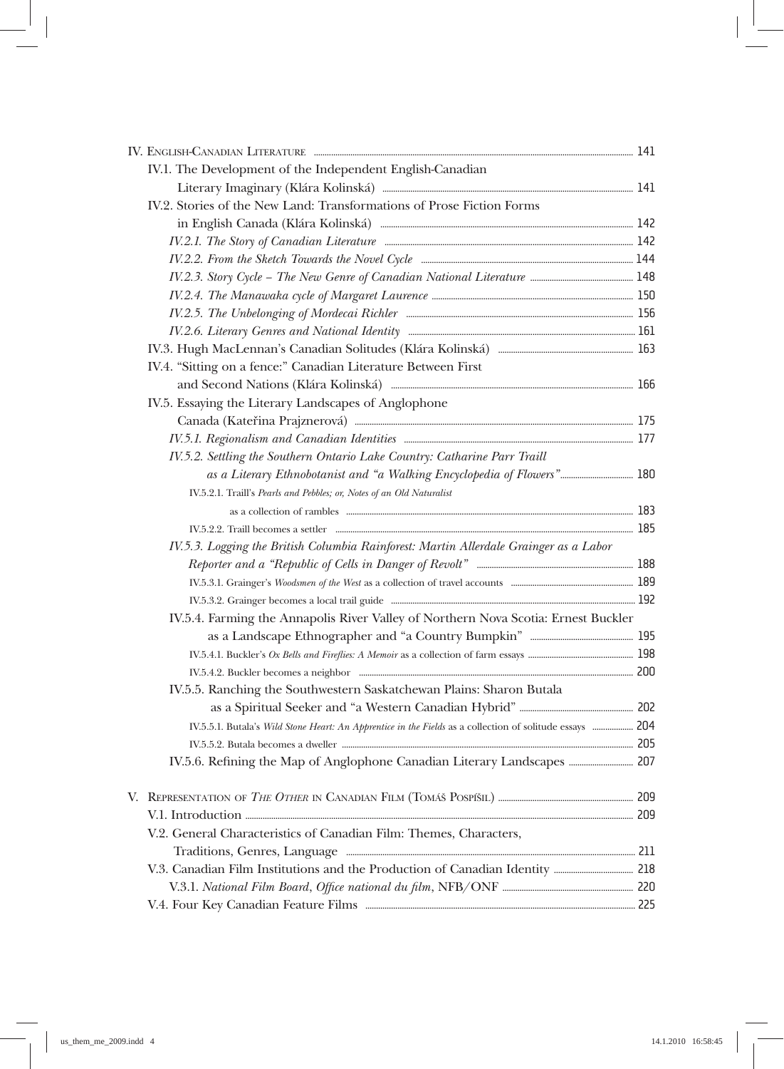|  | IV.1. The Development of the Independent English-Canadian                                                                                                                                                                          |  |
|--|------------------------------------------------------------------------------------------------------------------------------------------------------------------------------------------------------------------------------------|--|
|  |                                                                                                                                                                                                                                    |  |
|  | IV.2. Stories of the New Land: Transformations of Prose Fiction Forms                                                                                                                                                              |  |
|  |                                                                                                                                                                                                                                    |  |
|  |                                                                                                                                                                                                                                    |  |
|  |                                                                                                                                                                                                                                    |  |
|  |                                                                                                                                                                                                                                    |  |
|  |                                                                                                                                                                                                                                    |  |
|  | IV.2.5. The Unbelonging of Mordecai Richler [1986] [1986] [1986] [1986] [1986] [1986] [1986] [1986] [1986] [19                                                                                                                     |  |
|  |                                                                                                                                                                                                                                    |  |
|  |                                                                                                                                                                                                                                    |  |
|  | IV.4. "Sitting on a fence:" Canadian Literature Between First                                                                                                                                                                      |  |
|  |                                                                                                                                                                                                                                    |  |
|  | IV.5. Essaying the Literary Landscapes of Anglophone                                                                                                                                                                               |  |
|  |                                                                                                                                                                                                                                    |  |
|  |                                                                                                                                                                                                                                    |  |
|  | IV.5.2. Settling the Southern Ontario Lake Country: Catharine Parr Traill                                                                                                                                                          |  |
|  |                                                                                                                                                                                                                                    |  |
|  | IV.5.2.1. Traill's Pearls and Pebbles; or, Notes of an Old Naturalist                                                                                                                                                              |  |
|  |                                                                                                                                                                                                                                    |  |
|  | IV.5.2.2. Traill becomes a settler <i>manufacture of the communical communical</i> and the set of the set of the set of the set of the set of the set of the set of the set of the set of the set of the set of the set of the set |  |
|  | IV.5.3. Logging the British Columbia Rainforest: Martin Allerdale Grainger as a Labor                                                                                                                                              |  |
|  |                                                                                                                                                                                                                                    |  |
|  |                                                                                                                                                                                                                                    |  |
|  |                                                                                                                                                                                                                                    |  |
|  | IV.5.4. Farming the Annapolis River Valley of Northern Nova Scotia: Ernest Buckler                                                                                                                                                 |  |
|  |                                                                                                                                                                                                                                    |  |
|  |                                                                                                                                                                                                                                    |  |
|  |                                                                                                                                                                                                                                    |  |
|  | IV.5.5. Ranching the Southwestern Saskatchewan Plains: Sharon Butala                                                                                                                                                               |  |
|  |                                                                                                                                                                                                                                    |  |
|  | IV.5.5.1. Butala's Wild Stone Heart: An Apprentice in the Fields as a collection of solitude essays  204                                                                                                                           |  |
|  |                                                                                                                                                                                                                                    |  |
|  |                                                                                                                                                                                                                                    |  |
|  |                                                                                                                                                                                                                                    |  |
|  |                                                                                                                                                                                                                                    |  |
|  | V.2. General Characteristics of Canadian Film: Themes, Characters,                                                                                                                                                                 |  |
|  |                                                                                                                                                                                                                                    |  |
|  |                                                                                                                                                                                                                                    |  |
|  |                                                                                                                                                                                                                                    |  |
|  |                                                                                                                                                                                                                                    |  |
|  |                                                                                                                                                                                                                                    |  |